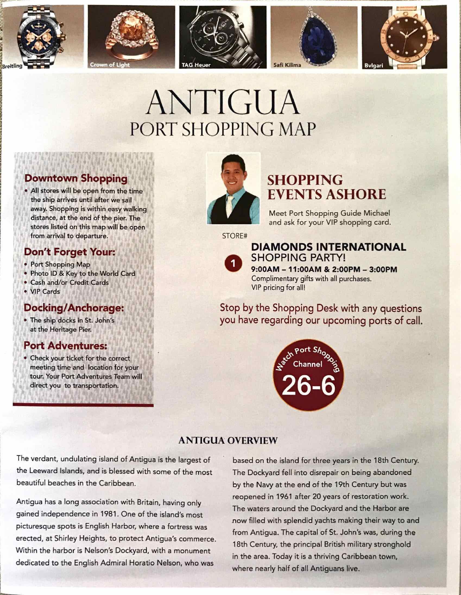









# ANTIGUA PORT SHOPPING MAP

## Downtown Shopping

• All stores will be open from the time the ship arrives until after we sail away. Shopping is within easy walking distance, at the end of the pier. The stores listed on this map will be open from arrival to departure.

### Don't Forget Your:

- Port Shopping Map
- Photo ID & Key to the World Card
- Cash and/or Credit Cards
- VIP.Cards

### Docking/Anchorage:

• The ship docks in St. John's at the Heritage Pier.

### Port Adventures.

• Check your ticket for the correct meeting time and location for your tour, Your Port Adventures Team will direct you to transportation.



## SHOPPING EVENTS ASHORE

Meet Port Shopping Guide Michael and ask for your VIP shopping card.

STORE#



### DIAMONDS INTERNATIONAL SHOPPING PARTY! 9:OOAM -11:00AM & 2:OOPM - 3:00PM

Complimentary gifts with all purchases. VIP pricing for all!

Stop by the Shopping Desk with any questions you have regarding our upcoming ports of call.



### ANTIGUA OVERVIEW

The verdant, undulating island of Antigua is the largest of the Leeward Islands, and is blessed with some of the most beautiful beaches in the Caribbean.

Antigua has a long association with Britain, having only gained independence in 1981. One of the island's most picturesque spots is English Harbor, where a fortress was erected, at Shirley Heights, to protect Antigua's commerce. Within the harbor is Nelson's Dockyard, with a monument dedicated to the English Admiral Horatio Nelson, who was

based on the island for three years in the 18th Century. The Dockyard fell into disrepair on being abandoned by the Navy at the end of the 19th Century but was reopened in 1961 after 20 years of restoration work. The waters around the Dockyard and the Harbor are now filled with splendid yachts making their way to and from Antigua. The capital of St. John's was, during the 18th Century, the principal British military stronghold in the area. Today it is a thriving Caribbean town, where nearly half of all Antiguans live.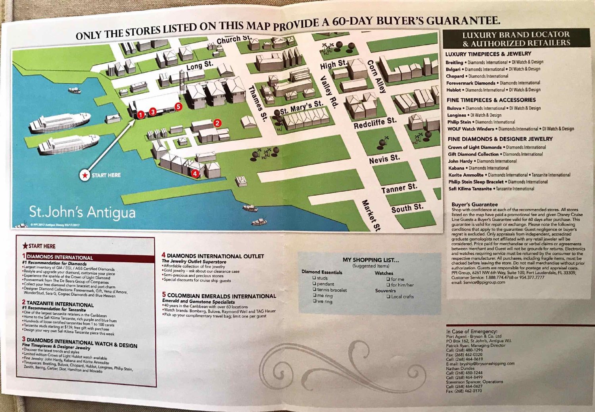

### **\*START HERE**

#### DIAMONDS INTERNATIONAL

#1 Recommendation for Diamonds<br>\*Largest inventory of GIA / EGL / AGS Certified Diamonds \*Restyle and upgrade your diamond, customize your piece<br>\*Experience the sparkle of the Crown of Light Diamond<br>\*Forevermark from The De Beers Group of Companies i port charm<br>Gift, Vena d'Amore, . Collect your free diamond charm bracelet and port charm WonderStud, Sara G, Cognac Diamonds and Blue Heaven

# **2 TANZANITE INTERNATIONAL**<br>#1 Recommendation for Tanzanite<br>•One of the largest tanzanite retailers in the Caribbean

Home to the Safi Kilima Tanzanite, rich purple and blue hues<br>• Hundreds of loose certified tanzanites from 1 to 100 carats<br>• Tanzanite studs starting at \$139; free gift with purchase • Hundreds of loose certified tanzanites from 1 to 100 carats •Design your very own Safi Kilima Tanzanite piece this week

3 DIAMONDS INTERNATIONAL WATCH & DESIGN<br>Fine Timepieces & Designer Jewelry<br>\* Discover the latest trends and styles

• Limited edition Crown of Light Hublot watch available<br>• Fine Jewelry: John Hardy Kaht Hublot watch available •Tjmep,eces John Hardy, Kabana and Konte Ammolite Breitling, Bulova, Chopard, Hublot, Longines, Philip stein, Zenith, Bering, Cartier, Dior, Hamilton and Movado

### 4 DIAMONDS INTERNATIONAL OUTLET<br>The Jewelry Outlet Superstore

**\*Affordable collection of fine jewelry<br>• Gold jewelry – ask about our clearance case •Semi-precious and precious stones •Special discounts for cruise ship guests** 

5 COLOMBIAN EMERALDS INTERNATIONAL<br>Emerald and Gemstone Specialists

\*40 years in the Caribbean with over 60 locations<br>\*Watch brands: Bomberg, Bulova, Raymond Weil and TAG Heuer<br>\*Pick up your complimentary travel bag; limit one per guest

#### MY SHOPPING LIST... (Suggested Items) Diamond Essentials Watches

**Q** for me Q for him/her

**Q** Local crafts

**Souvenirs** 

**Q** studs u pendant **U** tennis bracelet **Q** me ring **Q** we ring

#### LUXURY TIMEPIECES & JEWELRY

Breitling • Diamonds International • DI Watch & Design Bvlgari • Diamonds International • DI Watch & Design Chopard • Diamonds International Forevermark Diamonds • Diamonds International Hublot • Diamonds International • DI Watch & Design

#### FINE TIMEPIECES & ACCESSORIES

Bulova • Diamonds International • DI Watch & Design Longines • DI Watch & Design Philip Stein • Diamonds International WOLF Watch Winders • Diamonds International • DI Watch & Design

#### FINE DIAMONDS & DESIGNER JEWELRY

Crown of Light Diamonds • Diamonds International **Gift Diamond Collection • Diamonds International** John Hardy · Diamonds International Kabana • Diamonds International Korite Ammolite • Diamonds International • Tanzanite International Philip Stein Sleep Bracelet • Diamonds International Safi Kilima Tanzanite • Tanzanite International

#### Buyer's Guarantee

Shop with confidence at each of the recommended stores. All stores listed on the map have paid a promotional fee and given Disney Cruise Line Guests a Buyer's Guarantee valid for 60 days after purchase. This guarantee is valid for repair or exchange. Please note the following conditions that apply to the guarantee: Guest negligence or buyer's regret is excluded. Only appraisals from independent. accredited graduate gemologists not affiliated with any retail jeweler will be considered. Price paid for merchandise or verbal claims or agreements between merchant and Guest will not be grounds for retums. Electronics and watches requiring service must be returned by the consumer to the respective manufacturer. All purchases, including fragile items, must be checked before leaving the store. Do not mail merchandise without prior authorization. Guests are responsible for postage and appraisal costs. PPI Group, 6261 NW 6th Way, Suite 100, Fort Lauderdale, FL 33309, Customer Service: 1.888.774.4768 or 954.377.7777 email: Service@ppigroup.com

In Case of Emergency: Port Agent - Bryson & Co. Ltd PO Box 162, St John's, Antigua WI. Patrick Ryan, Managing Director Call: (268) 480-1296 Fax: (268) 462-0320 cell: (268) 464-0619 E-mail: bryship@brysonsshipping.com Nathan Dundas call: (268) 480-1244 cell: (268) 464-8499 Stevenson Spancer, Operations cell: (268) 464-0627 Fax: (268) 462-0170